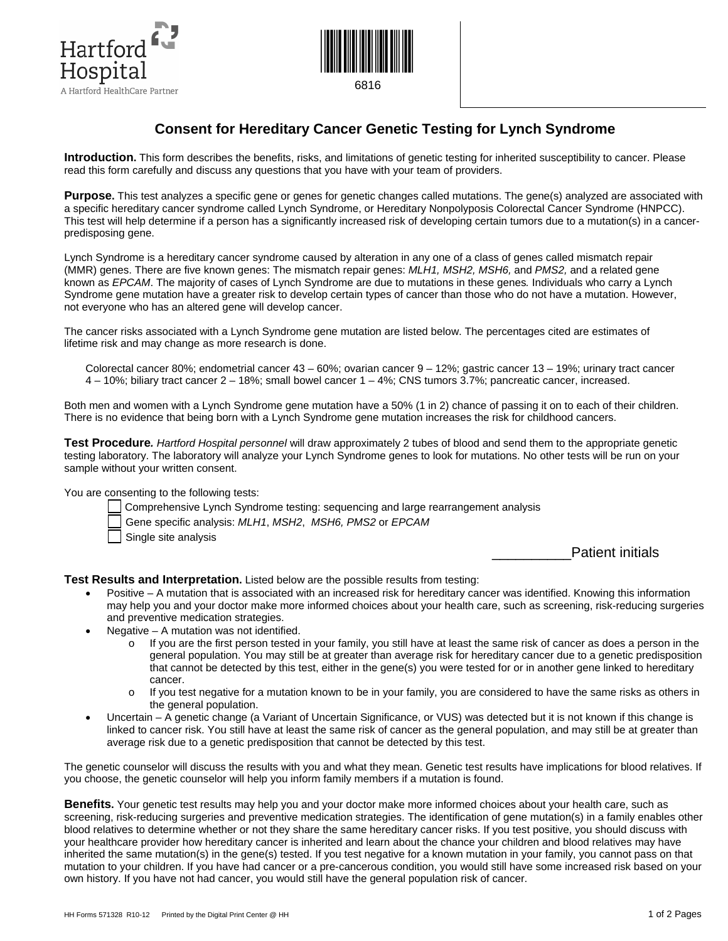



## **Consent for Hereditary Cancer Genetic Testing for Lynch Syndrome**

**Introduction.** This form describes the benefits, risks, and limitations of genetic testing for inherited susceptibility to cancer. Please read this form carefully and discuss any questions that you have with your team of providers.

**Purpose.** This test analyzes a specific gene or genes for genetic changes called mutations. The gene(s) analyzed are associated with a specific hereditary cancer syndrome called Lynch Syndrome, or Hereditary Nonpolyposis Colorectal Cancer Syndrome (HNPCC). This test will help determine if a person has a significantly increased risk of developing certain tumors due to a mutation(s) in a cancerpredisposing gene.

Lynch Syndrome is a hereditary cancer syndrome caused by alteration in any one of a class of genes called mismatch repair (MMR) genes. There are five known genes: The mismatch repair genes: *MLH1, MSH2, MSH6,* and *PMS2,* and a related gene known as *EPCAM*. The majority of cases of Lynch Syndrome are due to mutations in these genes*.* Individuals who carry a Lynch Syndrome gene mutation have a greater risk to develop certain types of cancer than those who do not have a mutation. However, not everyone who has an altered gene will develop cancer.

The cancer risks associated with a Lynch Syndrome gene mutation are listed below. The percentages cited are estimates of lifetime risk and may change as more research is done.

Colorectal cancer 80%; endometrial cancer 43 – 60%; ovarian cancer 9 – 12%; gastric cancer 13 – 19%; urinary tract cancer 4 – 10%; biliary tract cancer 2 – 18%; small bowel cancer 1 – 4%; CNS tumors 3.7%; pancreatic cancer, increased.

Both men and women with a Lynch Syndrome gene mutation have a 50% (1 in 2) chance of passing it on to each of their children. There is no evidence that being born with a Lynch Syndrome gene mutation increases the risk for childhood cancers.

**Test Procedure***. Hartford Hospital personnel* will draw approximately 2 tubes of blood and send them to the appropriate genetic testing laboratory. The laboratory will analyze your Lynch Syndrome genes to look for mutations. No other tests will be run on your sample without your written consent.

You are consenting to the following tests:

- Comprehensive Lynch Syndrome testing: sequencing and large rearrangement analysis
- Gene specific analysis: *MLH1*, *MSH2*, *MSH6, PMS2* or *EPCAM*
- Single site analysis

Patient initials

**Test Results and Interpretation.** Listed below are the possible results from testing:

- Positive A mutation that is associated with an increased risk for hereditary cancer was identified. Knowing this information may help you and your doctor make more informed choices about your health care, such as screening, risk-reducing surgeries and preventive medication strategies.
- Negative  $-$  A mutation was not identified.
	- $\circ$  If you are the first person tested in your family, you still have at least the same risk of cancer as does a person in the general population. You may still be at greater than average risk for hereditary cancer due to a genetic predisposition that cannot be detected by this test, either in the gene(s) you were tested for or in another gene linked to hereditary cancer.
	- o If you test negative for a mutation known to be in your family, you are considered to have the same risks as others in the general population.
- Uncertain A genetic change (a Variant of Uncertain Significance, or VUS) was detected but it is not known if this change is linked to cancer risk. You still have at least the same risk of cancer as the general population, and may still be at greater than average risk due to a genetic predisposition that cannot be detected by this test.

The genetic counselor will discuss the results with you and what they mean. Genetic test results have implications for blood relatives. If you choose, the genetic counselor will help you inform family members if a mutation is found.

**Benefits.** Your genetic test results may help you and your doctor make more informed choices about your health care, such as screening, risk-reducing surgeries and preventive medication strategies. The identification of gene mutation(s) in a family enables other blood relatives to determine whether or not they share the same hereditary cancer risks. If you test positive, you should discuss with your healthcare provider how hereditary cancer is inherited and learn about the chance your children and blood relatives may have inherited the same mutation(s) in the gene(s) tested. If you test negative for a known mutation in your family, you cannot pass on that mutation to your children. If you have had cancer or a pre-cancerous condition, you would still have some increased risk based on your own history. If you have not had cancer, you would still have the general population risk of cancer.